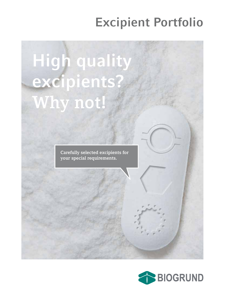# **Excipient Portfolio**

**High quality excipients? Why not!**

> **Carefully selected excipients for your special requirements.**

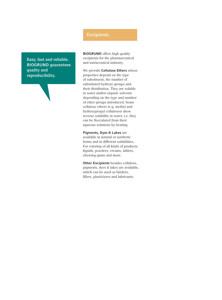**Easy, fast and reliable. BIOGRUND guarantees quality and reproducibility.** 

### **Excipients**

**BIOGRUND** offers high quality excipients for the pharmaceutical and nutraceutical industry.

We provide **Cellulose Ethers** whose properties depend on the type of substituent, the number of substituted hydroxy groups and their distribution. They are soluble in water and/or organic solvents depending on the type and number of ether groups introduced. Some cellulose ethers (e.g. methyl and hydroxypropyl celluloses) show reverse solubility in water, i.e. they can be flocculated from their aqueous solutions by heating.

**Pigments, Dyes & Lakes** are available in natural or synthetic forms and in different solubilities. For coloring of all kinds of products: liquids, powders, creams, tablets, chewing gums and more.

**Other Excipients** besides cellulose, pigments, dyes & lakes are available, which can be used as binders, fillers, plasticizers and lubricants.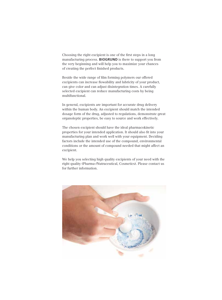Choosing the right excipient is one of the first steps in a long manufacturing process. **BIOGRUND** is there to support you from the very beginning and will help you to maximize your chances of creating the perfect finished products.

Beside the wide range of film forming polymers our offered excipients can increase flowability and lubricity of your product, can give color and can adjust disintegration times. A carefully selected excipient can reduce manufacturing costs by being multifunctional.

In general, excipients are important for accurate drug delivery within the human body. An excipient should match the intended dosage form of the drug, adjusted to regulations, demonstrate great organoleptic properties, be easy to source and work effectively.

The chosen excipient should have the ideal pharmacokinetic properties for your intended application. It should also fit into your manufacturing plan and work well with your equipment. Deciding factors include the intended use of the compound, environmental conditions or the amount of compound needed that might affect an excipient.

We help you selecting high quality excipients of your need with the right quality (Pharma-/Nutraceutical, Cosmetics). Please contact us for further information.

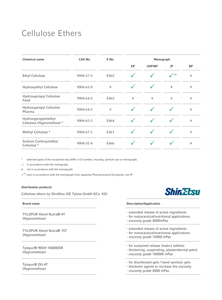### Cellulose Ethers

| Chemical name                                     | CAS No.         | E No. | Monograph    |        |              |           |  |
|---------------------------------------------------|-----------------|-------|--------------|--------|--------------|-----------|--|
|                                                   |                 |       | EP           | USP/NF | JP           | <b>BP</b> |  |
| Ethyl Cellulose                                   | 9004-57-3       | E462  |              |        | $\sqrt{P^E}$ | X         |  |
| Hydroxyethyl Cellulose                            | $9004 - 62 - 0$ | X     | $\checkmark$ |        | X            | X         |  |
| Hydroxypropyl Cellulose<br>Food                   | 9004-64-2       | E463  | X            | X      | X            | X         |  |
| Hydroxypropyl Cellulose<br>Pharma                 | 9004-64-2       | X     |              |        |              | X         |  |
| Hydroxypropylmethyl<br>Cellulose (Hypromellose) * | $9004 - 65 - 3$ | E464  |              |        |              | X         |  |
| Methyl Cellulose *                                | 9004-67-5       | E461  |              |        |              | X         |  |
| Sodium Carboxymethyl<br>Cellulose *               | 9004-32-4       | E466  | $\checkmark$ |        |              | X         |  |

\* selected types of the excipients may differ in E-number, viscosity, particle size or monograph.

 $\checkmark$  in accordance with the monograph.

**x** not in accordance with the monograph.

 $\sqrt{P^E}$  only in accordance with the monograph from Japanese Pharmaceutical Excipients, not JP.

### **Distribution products**

Cellulose ethers by ShinEtsu (SE Tylose GmbH &Co. KG)

TYLOPUR Xtend Nutra® 4T (Hypromellose)

TYLOPUR Xtend Nutra® 15T (Hypromellose)

Tylopur® 90SH-100000SR (Hypromellose)

Tylopur® DG-4T (Hypromellose)



#### **Brand name Description/Application**

- extended release of active ingredients
- for nutraceutical/nutritional applications
- viscosity grade 4000mPas
- extended release of active ingredients
- for nutraceutical/nutritional applications
- viscosity grade 15000 mPas
- for sustained release (matrix tablets)
- thickening, suspending, plaster/dermal patch
- viscosity grade 100000 mPas
- for disinfectant gels / hand sanitizer gels
- thickener agents to increase the viscosity
- viscosity grade 4000 mPas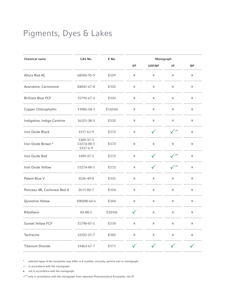### Pigments, Dyes & Lakes

| Chemical name               | CAS No.                             | E No.    | Monograph    |              |              |                           |
|-----------------------------|-------------------------------------|----------|--------------|--------------|--------------|---------------------------|
|                             |                                     |          | EP           | USP/NF       | JP           | <b>BP</b>                 |
| Allura Red AC               | 68583-95-9                          | E129     | X            | X            | X            | $\pmb{\times}$            |
| Azorubine, Carmoisine       | 84041-67-8                          | E122     | X            | X            | X            | X                         |
| <b>Brilliant Blue FCF</b>   | 15792-67-3                          | E133     | $\mathsf X$  | X            | $\mathsf X$  | $\mathsf X$               |
| Copper Chlorophyllin        | 11006-34-1                          | E141(ii) | X            | X            | X            | X                         |
| Indigotine, Indigo Carmine  | 16521-38-3                          | E132     | X            | X            | X            | X                         |
| Iron Oxide Black            | 1317-61-9                           | E172     | X            | $\checkmark$ | $\sqrt{P^E}$ | $\mathsf X$               |
| Iron Oxide Brown *          | 1309-37-1<br>51274-00-1<br>1317-6-9 | E172     | X            | X            | X            | X                         |
| Iron Oxide Red              | 1309-37-1                           | E172     | X            | $\checkmark$ | $\sqrt{P^E}$ | $\boldsymbol{\mathsf{X}}$ |
| Iron Oxide Yellow           | 51274-00-1                          | E172     | X            | $\checkmark$ | $\sqrt{P^E}$ | $\pmb{\times}$            |
| Patent Blue V               | 3536-49-0                           | E131     | X            | X            | X            | X                         |
| Ponceau 4R, Cochineal Red A | 2611-82-7                           | E124     | X            | X            | X            | X                         |
| Quinoline Yellow            | 100208-62-6                         | E104     | $\mathsf X$  | X            | X            | X                         |
| Riboflavin                  | 83-88-5                             | E101(i)  | $\checkmark$ | X            | X            | X                         |
| Sunset Yellow FCF           | 15790-07-5                          | E110     | $\mathsf X$  | X            | X            | X                         |
| Tartrazine                  | 12225-21-7                          | E102     | X            | X            | X            | X                         |
| <b>Titanium Dioxide</b>     | 13463-67-7                          | E171     | $\checkmark$ | $\checkmark$ |              |                           |

\* selected types of the excipients may differ in E-number, viscosity, particle size or monograph.

 $\checkmark$  in accordance with the monograph.

**x** not in accordance with the monograph.

 $\checkmark^\text{PEC}$  only in accordance with the monograph from Japanese Pharmaceutical Excipients, not JP.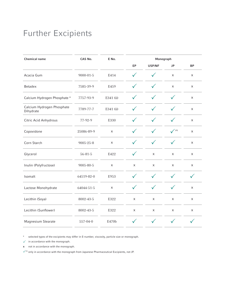### Further Excipients

| Chemical name                           | CAS No.       | E No.                     | Monograph      |                |                           |                |
|-----------------------------------------|---------------|---------------------------|----------------|----------------|---------------------------|----------------|
|                                         |               |                           | EP             | USP/NF         | JP                        | <b>BP</b>      |
| Acacia Gum                              | 9000-01-5     | E414                      | ✓              |                | X                         | X              |
| <b>Betadex</b>                          | 7585-39-9     | E459                      | $\checkmark$   | $\checkmark$   | $\mathsf X$               | $\mathsf X$    |
| Calcium Hydrogen Phosphate *            | 7757-93-9     | E341 (ii)                 | $\checkmark$   | $\checkmark$   | $\checkmark$              | X              |
| Calcium Hydrogen Phosphate<br>Dihydrate | 7789-77-7     | E341 (ii)                 | $\checkmark$   | $\checkmark$   | $\checkmark$              | X              |
| Citric Acid Anhydrous                   | 77-92-9       | E330                      | $\checkmark$   | $\checkmark$   | $\checkmark$              | $\pmb{\times}$ |
| Copovidone                              | 25086-89-9    | $\mathsf X$               | $\checkmark$   | $\checkmark$   | $\sqrt{P^E}$              | $\pmb{\times}$ |
| Corn Starch                             | 9005-25-8     | $\pmb{\times}$            | $\checkmark$   | $\checkmark$   | $\checkmark$              | X              |
| Glycerol                                | $56 - 81 - 5$ | E422                      | $\checkmark$   | X              | X                         | X              |
| Inulin (Polyfructose)                   | 9005-80-5     | $\boldsymbol{\mathsf{X}}$ | $\pmb{\times}$ | $\pmb{\times}$ | X                         | X              |
| Isomalt                                 | 64519-82-0    | E953                      | $\checkmark$   | $\checkmark$   | ✓                         | $\checkmark$   |
| Lactose Monohydrate                     | 64044-51-5    | $\mathsf X$               | $\checkmark$   | $\checkmark$   | $\checkmark$              | $\mathsf X$    |
| Lecithin (Soya)                         | 8002-43-5     | E322                      | $\pmb{\times}$ | $\pmb{\times}$ | $\boldsymbol{\mathsf{X}}$ | X              |
| Lecithin (Sunflower)                    | 8002-43-5     | E322                      | $\mathsf X$    | $\pmb{\times}$ | $\mathsf X$               | X              |
| Magnesium Stearate                      | 557-04-0      | E470b                     | $\checkmark$   | $\checkmark$   | $\checkmark$              | $\checkmark$   |

\* selected types of the excipients may differ in E-number, viscosity, particle size or monograph.

 $\checkmark$  in accordance with the monograph.

**x** not in accordance with the monograph.

 $\checkmark^\text{PEC}$  only in accordance with the monograph from Japanese Pharmaceutical Excipients, not JP.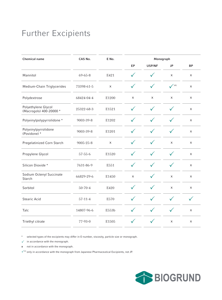## Further Excipients

| <b>Chemical name</b>                           | CAS No.       | E No. | Monograph    |              |                |                |  |
|------------------------------------------------|---------------|-------|--------------|--------------|----------------|----------------|--|
|                                                |               |       | EP           | USP/NF       | <b>JP</b>      | <b>BP</b>      |  |
| Mannitol                                       | 69-65-8       | E421  | ✓            |              | X              | X              |  |
| Medium-Chain Triglycerides                     | 73398-61-5    | X     | $\checkmark$ | $\checkmark$ | $\sqrt{P^E}$   | $\pmb{\times}$ |  |
| Polydextrose                                   | 68424-04-4    | E1200 | $\mathsf X$  | $\mathsf X$  | X              | $\pmb{\times}$ |  |
| Polyethylene Glycol<br>(Macrogols) 400-20000 * | 25322-68-3    | E1521 | $\checkmark$ | $\checkmark$ | $\checkmark$   | $\mathsf X$    |  |
| Polyvinylpolypyrrolidone *                     | 9003-39-8     | E1202 | $\checkmark$ | $\checkmark$ | $\checkmark$   | X              |  |
| Polyvinylpyrrolidone<br>(Povidone) *           | 9003-39-8     | E1201 | $\checkmark$ | $\checkmark$ | $\checkmark$   | X              |  |
| Pregelatinized Corn Starch                     | 9005-25-8     | X     | $\checkmark$ | $\checkmark$ | X              | X              |  |
| Propylene Glycol                               | $57 - 55 - 6$ | E1520 | ✓            | $\checkmark$ | $\checkmark$   | $\mathsf X$    |  |
| Silicon Dioxide *                              | 7631-86-9     | E551  | $\checkmark$ | $\checkmark$ | $\checkmark$   | $\mathsf X$    |  |
| Sodium Octenyl Succinate<br>Starch             | 66829-29-6    | E1450 | $\mathsf X$  | $\checkmark$ | $\pmb{\times}$ | X              |  |
| Sorbitol                                       | $50 - 70 - 4$ | E420  | $\checkmark$ | $\checkmark$ | $\pmb{\times}$ | X              |  |
| Stearic Acid                                   | $57 - 11 - 4$ | E570  | $\checkmark$ | $\checkmark$ | $\checkmark$   | $\checkmark$   |  |
| Talc                                           | 14807-96-6    | E553b | $\checkmark$ | $\checkmark$ | $\checkmark$   | $\pmb{\times}$ |  |
| Triethyl citrate                               | 77-93-0       | E1505 | ✓            | $\checkmark$ | X              | X              |  |

\* selected types of the excipients may differ in E-number, viscosity, particle size or monograph.

 $\checkmark$  in accordance with the monograph.

**x** not in accordance with the monograph.

 $\sqrt{P^E}$  only in accordance with the monograph from Japanese Pharmaceutical Excipients, not JP.